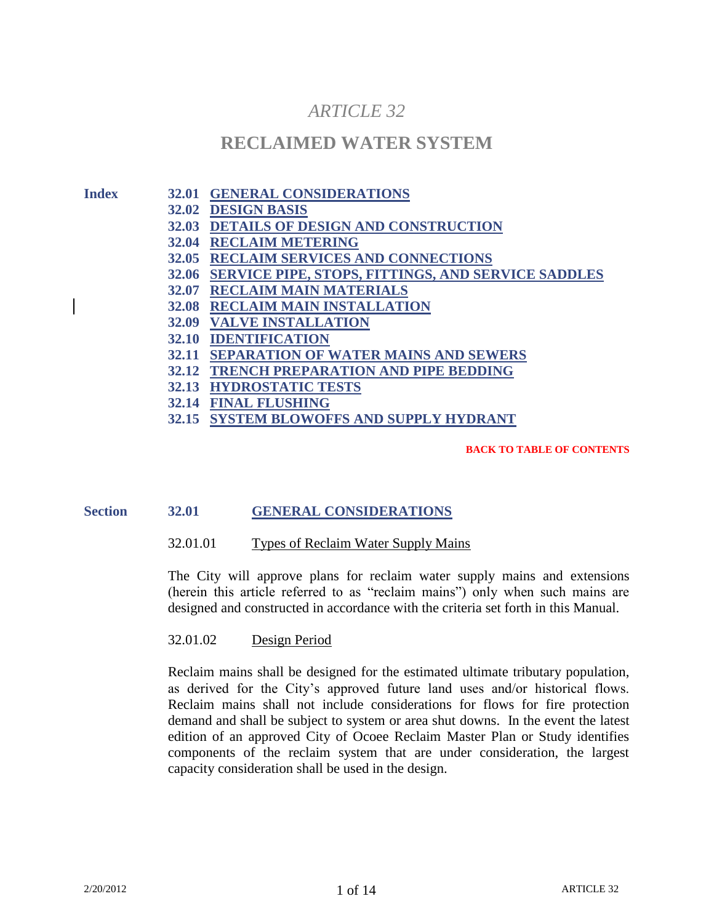# *ARTICLE 32*

# **RECLAIMED WATER SYSTEM**

**Index 32.01 GENERAL CONSIDERATIONS**

- **32.02 DESIGN BASIS**
- **32.03 DETAILS OF DESIGN AND CONSTRUCTION**
- **32.04 RECLAIM METERING**
- **32.05 RECLAIM SERVICES AND CONNECTIONS**
- **32.06 SERVICE PIPE, STOPS, FITTINGS, AND SERVICE SADDLES**
- **32.07 RECLAIM MAIN MATERIALS**
- **32.08 RECLAIM MAIN INSTALLATION**
- **32.09 VALVE INSTALLATION**
- **32.10 IDENTIFICATION**
- **32.11 SEPARATION OF WATER MAINS AND SEWERS**
- **32.12 TRENCH PREPARATION AND PIPE BEDDING**
- **32.13 HYDROSTATIC TESTS**
- **32.14 FINAL FLUSHING**
- **32.15 SYSTEM BLOWOFFS AND SUPPLY HYDRANT**

**BACK TO TABLE OF CONTENTS**

# **Section 32.01 GENERAL CONSIDERATIONS**

#### 32.01.01 Types of Reclaim Water Supply Mains

The City will approve plans for reclaim water supply mains and extensions (herein this article referred to as "reclaim mains") only when such mains are designed and constructed in accordance with the criteria set forth in this Manual.

#### 32.01.02 Design Period

Reclaim mains shall be designed for the estimated ultimate tributary population, as derived for the City's approved future land uses and/or historical flows. Reclaim mains shall not include considerations for flows for fire protection demand and shall be subject to system or area shut downs. In the event the latest edition of an approved City of Ocoee Reclaim Master Plan or Study identifies components of the reclaim system that are under consideration, the largest capacity consideration shall be used in the design.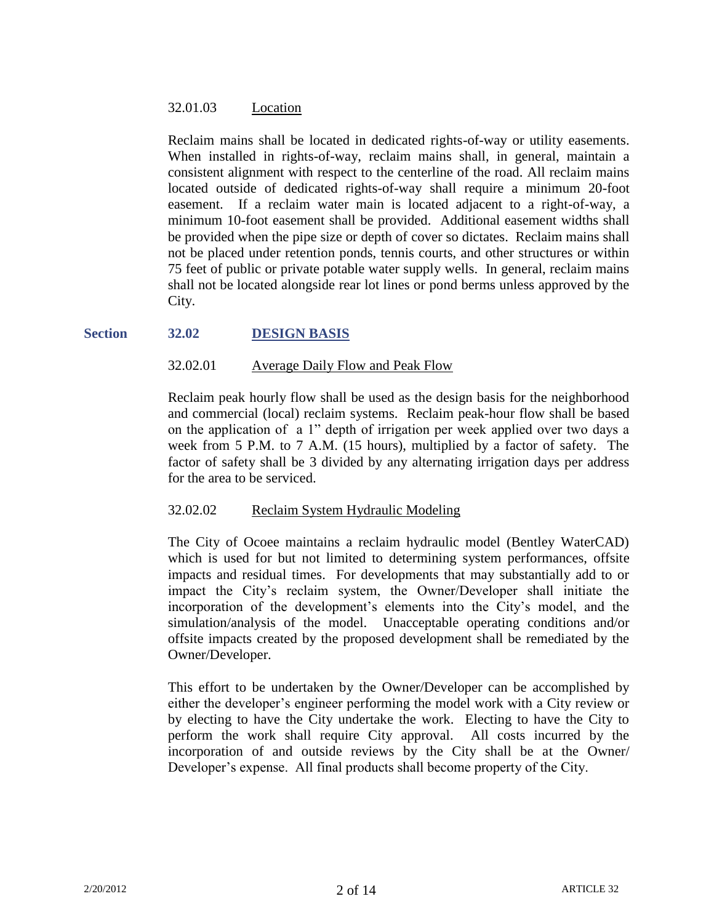# 32.01.03 Location

Reclaim mains shall be located in dedicated rights-of-way or utility easements. When installed in rights-of-way, reclaim mains shall, in general, maintain a consistent alignment with respect to the centerline of the road. All reclaim mains located outside of dedicated rights-of-way shall require a minimum 20-foot easement. If a reclaim water main is located adjacent to a right-of-way, a minimum 10-foot easement shall be provided. Additional easement widths shall be provided when the pipe size or depth of cover so dictates. Reclaim mains shall not be placed under retention ponds, tennis courts, and other structures or within 75 feet of public or private potable water supply wells. In general, reclaim mains shall not be located alongside rear lot lines or pond berms unless approved by the City.

# **Section 32.02 DESIGN BASIS**

# 32.02.01 Average Daily Flow and Peak Flow

Reclaim peak hourly flow shall be used as the design basis for the neighborhood and commercial (local) reclaim systems. Reclaim peak-hour flow shall be based on the application of a 1" depth of irrigation per week applied over two days a week from 5 P.M. to 7 A.M. (15 hours), multiplied by a factor of safety. The factor of safety shall be 3 divided by any alternating irrigation days per address for the area to be serviced.

# 32.02.02 Reclaim System Hydraulic Modeling

The City of Ocoee maintains a reclaim hydraulic model (Bentley WaterCAD) which is used for but not limited to determining system performances, offsite impacts and residual times. For developments that may substantially add to or impact the City's reclaim system, the Owner/Developer shall initiate the incorporation of the development's elements into the City's model, and the simulation/analysis of the model. Unacceptable operating conditions and/or offsite impacts created by the proposed development shall be remediated by the Owner/Developer.

This effort to be undertaken by the Owner/Developer can be accomplished by either the developer's engineer performing the model work with a City review or by electing to have the City undertake the work. Electing to have the City to perform the work shall require City approval. All costs incurred by the incorporation of and outside reviews by the City shall be at the Owner/ Developer's expense. All final products shall become property of the City.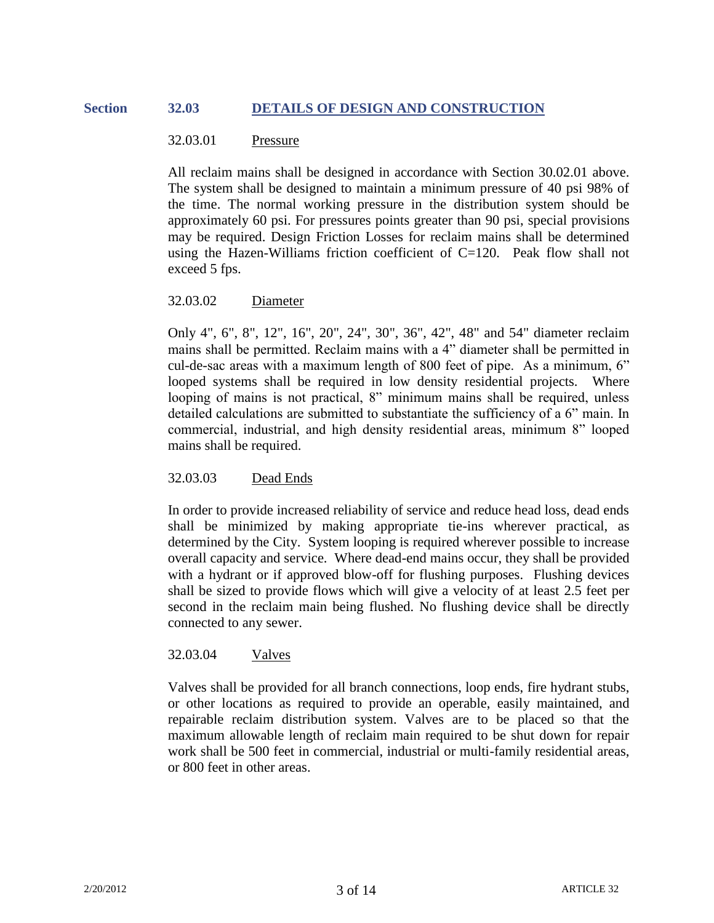# **Section 32.03 DETAILS OF DESIGN AND CONSTRUCTION**

### 32.03.01 Pressure

All reclaim mains shall be designed in accordance with Section 30.02.01 above. The system shall be designed to maintain a minimum pressure of 40 psi 98% of the time. The normal working pressure in the distribution system should be approximately 60 psi. For pressures points greater than 90 psi, special provisions may be required. Design Friction Losses for reclaim mains shall be determined using the Hazen-Williams friction coefficient of C=120. Peak flow shall not exceed 5 fps.

### 32.03.02 Diameter

Only 4", 6", 8", 12", 16", 20", 24", 30", 36", 42", 48" and 54" diameter reclaim mains shall be permitted. Reclaim mains with a 4" diameter shall be permitted in cul-de-sac areas with a maximum length of 800 feet of pipe. As a minimum, 6" looped systems shall be required in low density residential projects. Where looping of mains is not practical, 8" minimum mains shall be required, unless detailed calculations are submitted to substantiate the sufficiency of a 6" main. In commercial, industrial, and high density residential areas, minimum 8" looped mains shall be required.

# 32.03.03 Dead Ends

In order to provide increased reliability of service and reduce head loss, dead ends shall be minimized by making appropriate tie-ins wherever practical, as determined by the City. System looping is required wherever possible to increase overall capacity and service. Where dead-end mains occur, they shall be provided with a hydrant or if approved blow-off for flushing purposes. Flushing devices shall be sized to provide flows which will give a velocity of at least 2.5 feet per second in the reclaim main being flushed. No flushing device shall be directly connected to any sewer.

# 32.03.04 Valves

Valves shall be provided for all branch connections, loop ends, fire hydrant stubs, or other locations as required to provide an operable, easily maintained, and repairable reclaim distribution system. Valves are to be placed so that the maximum allowable length of reclaim main required to be shut down for repair work shall be 500 feet in commercial, industrial or multi-family residential areas, or 800 feet in other areas.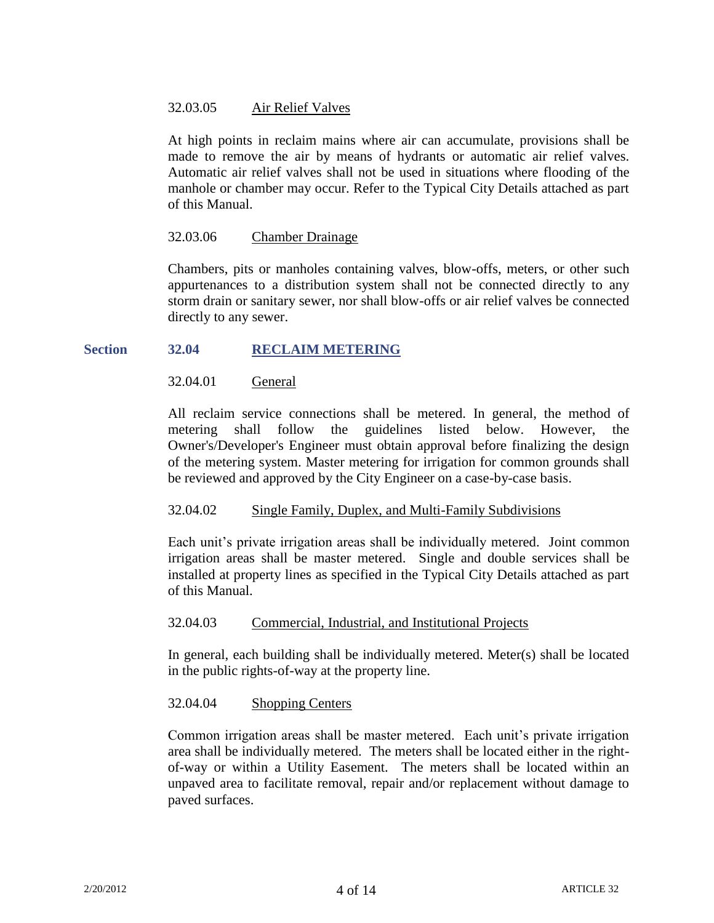# 32.03.05 Air Relief Valves

At high points in reclaim mains where air can accumulate, provisions shall be made to remove the air by means of hydrants or automatic air relief valves. Automatic air relief valves shall not be used in situations where flooding of the manhole or chamber may occur. Refer to the Typical City Details attached as part of this Manual.

# 32.03.06 Chamber Drainage

Chambers, pits or manholes containing valves, blow-offs, meters, or other such appurtenances to a distribution system shall not be connected directly to any storm drain or sanitary sewer, nor shall blow-offs or air relief valves be connected directly to any sewer.

# **Section 32.04 RECLAIM METERING**

# 32.04.01 General

All reclaim service connections shall be metered. In general, the method of metering shall follow the guidelines listed below. However, the Owner's/Developer's Engineer must obtain approval before finalizing the design of the metering system. Master metering for irrigation for common grounds shall be reviewed and approved by the City Engineer on a case-by-case basis.

# 32.04.02 Single Family, Duplex, and Multi-Family Subdivisions

Each unit's private irrigation areas shall be individually metered. Joint common irrigation areas shall be master metered. Single and double services shall be installed at property lines as specified in the Typical City Details attached as part of this Manual.

# 32.04.03 Commercial, Industrial, and Institutional Projects

In general, each building shall be individually metered. Meter(s) shall be located in the public rights-of-way at the property line.

# 32.04.04 Shopping Centers

Common irrigation areas shall be master metered. Each unit's private irrigation area shall be individually metered. The meters shall be located either in the rightof-way or within a Utility Easement. The meters shall be located within an unpaved area to facilitate removal, repair and/or replacement without damage to paved surfaces.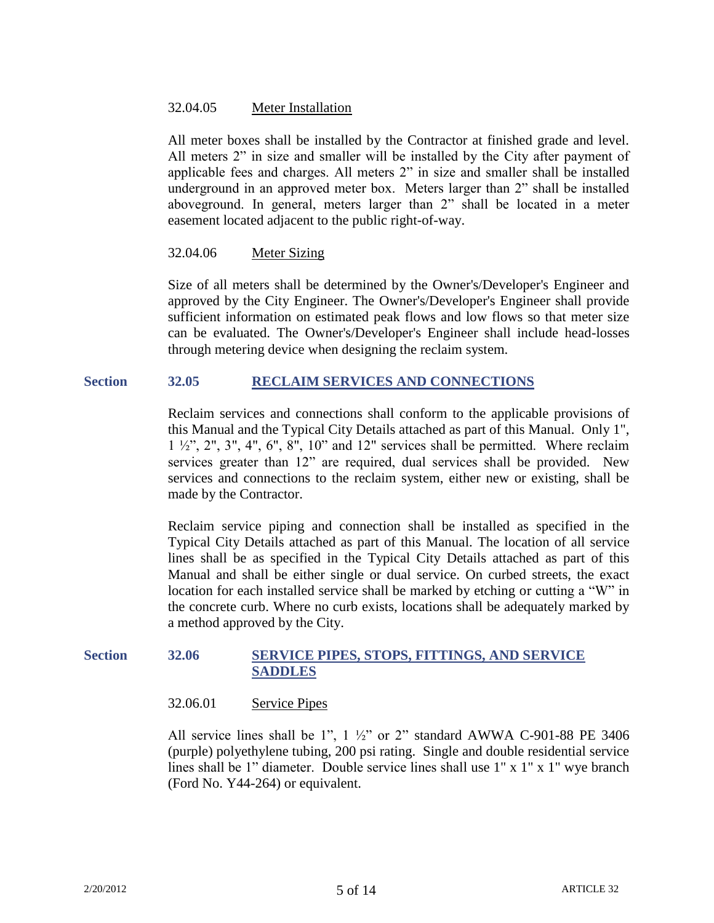# 32.04.05 Meter Installation

All meter boxes shall be installed by the Contractor at finished grade and level. All meters 2" in size and smaller will be installed by the City after payment of applicable fees and charges. All meters 2" in size and smaller shall be installed underground in an approved meter box. Meters larger than 2" shall be installed aboveground. In general, meters larger than 2" shall be located in a meter easement located adjacent to the public right-of-way.

# 32.04.06 Meter Sizing

Size of all meters shall be determined by the Owner's/Developer's Engineer and approved by the City Engineer. The Owner's/Developer's Engineer shall provide sufficient information on estimated peak flows and low flows so that meter size can be evaluated. The Owner's/Developer's Engineer shall include head-losses through metering device when designing the reclaim system.

# **Section 32.05 RECLAIM SERVICES AND CONNECTIONS**

Reclaim services and connections shall conform to the applicable provisions of this Manual and the Typical City Details attached as part of this Manual. Only 1",  $1 \frac{1}{2}$ ,  $2$ ,  $3$ ,  $4$ ,  $6$ ,  $8$ ,  $10$  and  $12$  services shall be permitted. Where reclaim services greater than 12" are required, dual services shall be provided. New services and connections to the reclaim system, either new or existing, shall be made by the Contractor.

Reclaim service piping and connection shall be installed as specified in the Typical City Details attached as part of this Manual. The location of all service lines shall be as specified in the Typical City Details attached as part of this Manual and shall be either single or dual service. On curbed streets, the exact location for each installed service shall be marked by etching or cutting a "W" in the concrete curb. Where no curb exists, locations shall be adequately marked by a method approved by the City.

# **Section 32.06 SERVICE PIPES, STOPS, FITTINGS, AND SERVICE SADDLES**

# 32.06.01 Service Pipes

All service lines shall be 1",  $1 \frac{1}{2}$ " or 2" standard AWWA C-901-88 PE 3406 (purple) polyethylene tubing, 200 psi rating. Single and double residential service lines shall be 1" diameter. Double service lines shall use 1" x 1" x 1" wye branch (Ford No. Y44-264) or equivalent.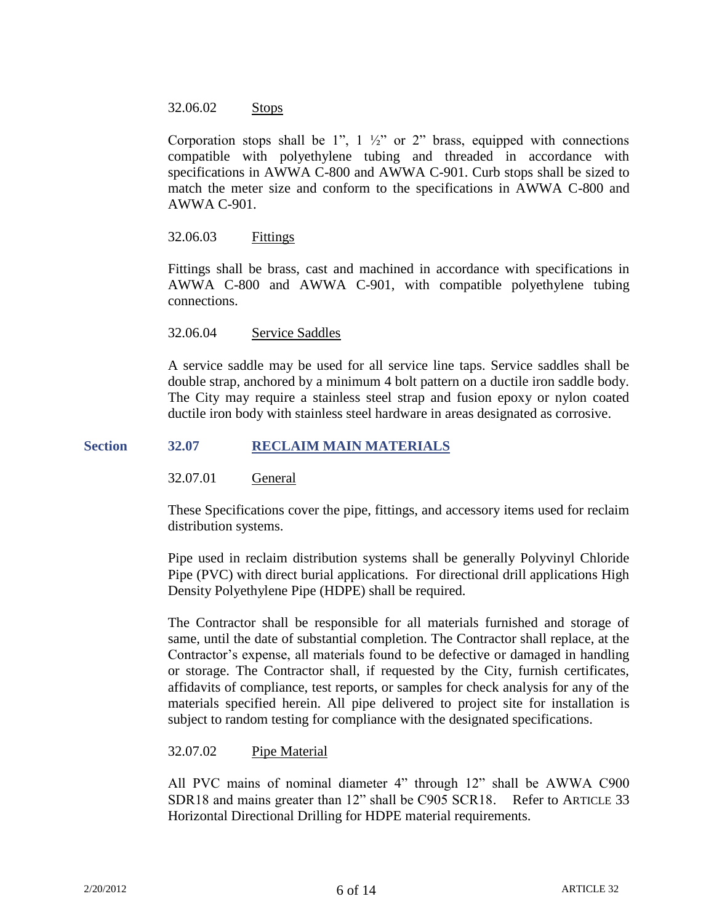### 32.06.02 Stops

Corporation stops shall be 1",  $1 \frac{1}{2}$ " or 2" brass, equipped with connections compatible with polyethylene tubing and threaded in accordance with specifications in AWWA C-800 and AWWA C-901. Curb stops shall be sized to match the meter size and conform to the specifications in AWWA C-800 and AWWA C-901.

# 32.06.03 Fittings

Fittings shall be brass, cast and machined in accordance with specifications in AWWA C-800 and AWWA C-901, with compatible polyethylene tubing connections.

### 32.06.04 Service Saddles

A service saddle may be used for all service line taps. Service saddles shall be double strap, anchored by a minimum 4 bolt pattern on a ductile iron saddle body. The City may require a stainless steel strap and fusion epoxy or nylon coated ductile iron body with stainless steel hardware in areas designated as corrosive.

### **Section 32.07 RECLAIM MAIN MATERIALS**

#### 32.07.01 General

These Specifications cover the pipe, fittings, and accessory items used for reclaim distribution systems.

Pipe used in reclaim distribution systems shall be generally Polyvinyl Chloride Pipe (PVC) with direct burial applications. For directional drill applications High Density Polyethylene Pipe (HDPE) shall be required.

The Contractor shall be responsible for all materials furnished and storage of same, until the date of substantial completion. The Contractor shall replace, at the Contractor's expense, all materials found to be defective or damaged in handling or storage. The Contractor shall, if requested by the City, furnish certificates, affidavits of compliance, test reports, or samples for check analysis for any of the materials specified herein. All pipe delivered to project site for installation is subject to random testing for compliance with the designated specifications.

#### 32.07.02 Pipe Material

All PVC mains of nominal diameter 4" through 12" shall be AWWA C900 SDR18 and mains greater than 12" shall be C905 SCR18. Refer to ARTICLE 33 Horizontal Directional Drilling for HDPE material requirements.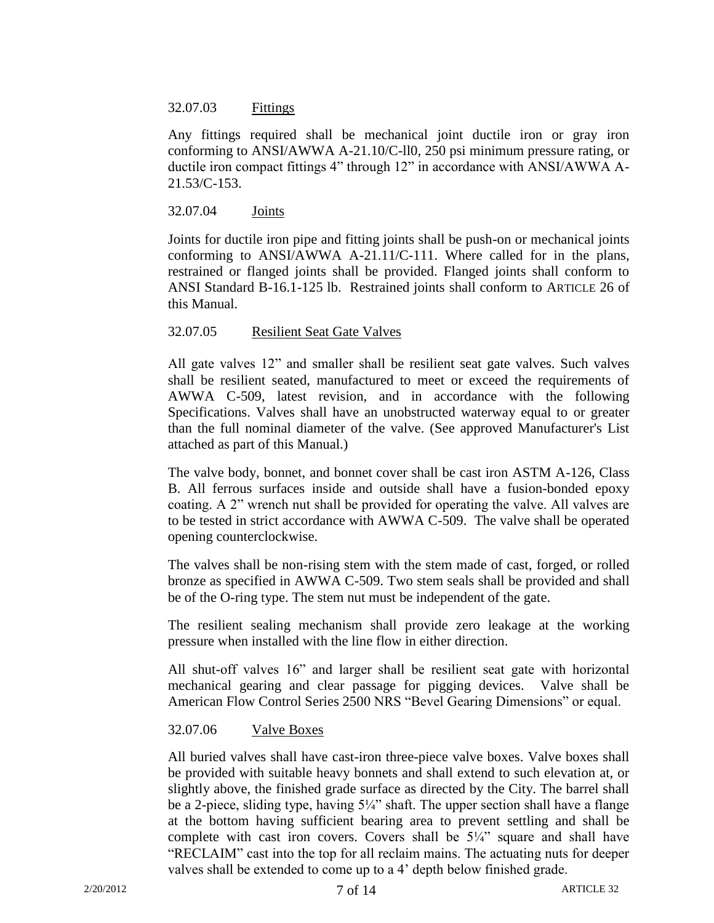# 32.07.03 Fittings

Any fittings required shall be mechanical joint ductile iron or gray iron conforming to ANSI/AWWA A-21.10/C-ll0, 250 psi minimum pressure rating, or ductile iron compact fittings 4" through 12" in accordance with ANSI/AWWA A-21.53/C-153.

# 32.07.04 Joints

Joints for ductile iron pipe and fitting joints shall be push-on or mechanical joints conforming to ANSI/AWWA A-21.11/C-111. Where called for in the plans, restrained or flanged joints shall be provided. Flanged joints shall conform to ANSI Standard B-16.1-125 lb. Restrained joints shall conform to ARTICLE 26 of this Manual.

# 32.07.05 Resilient Seat Gate Valves

All gate valves 12" and smaller shall be resilient seat gate valves. Such valves shall be resilient seated, manufactured to meet or exceed the requirements of AWWA C-509, latest revision, and in accordance with the following Specifications. Valves shall have an unobstructed waterway equal to or greater than the full nominal diameter of the valve. (See approved Manufacturer's List attached as part of this Manual.)

The valve body, bonnet, and bonnet cover shall be cast iron ASTM A-126, Class B. All ferrous surfaces inside and outside shall have a fusion-bonded epoxy coating. A 2" wrench nut shall be provided for operating the valve. All valves are to be tested in strict accordance with AWWA C-509. The valve shall be operated opening counterclockwise.

The valves shall be non-rising stem with the stem made of cast, forged, or rolled bronze as specified in AWWA C-509. Two stem seals shall be provided and shall be of the O-ring type. The stem nut must be independent of the gate.

The resilient sealing mechanism shall provide zero leakage at the working pressure when installed with the line flow in either direction.

All shut-off valves 16" and larger shall be resilient seat gate with horizontal mechanical gearing and clear passage for pigging devices. Valve shall be American Flow Control Series 2500 NRS "Bevel Gearing Dimensions" or equal.

# 32.07.06 Valve Boxes

All buried valves shall have cast-iron three-piece valve boxes. Valve boxes shall be provided with suitable heavy bonnets and shall extend to such elevation at, or slightly above, the finished grade surface as directed by the City. The barrel shall be a 2-piece, sliding type, having 5¼" shaft. The upper section shall have a flange at the bottom having sufficient bearing area to prevent settling and shall be complete with cast iron covers. Covers shall be  $5\frac{1}{4}$  square and shall have "RECLAIM" cast into the top for all reclaim mains. The actuating nuts for deeper valves shall be extended to come up to a 4' depth below finished grade.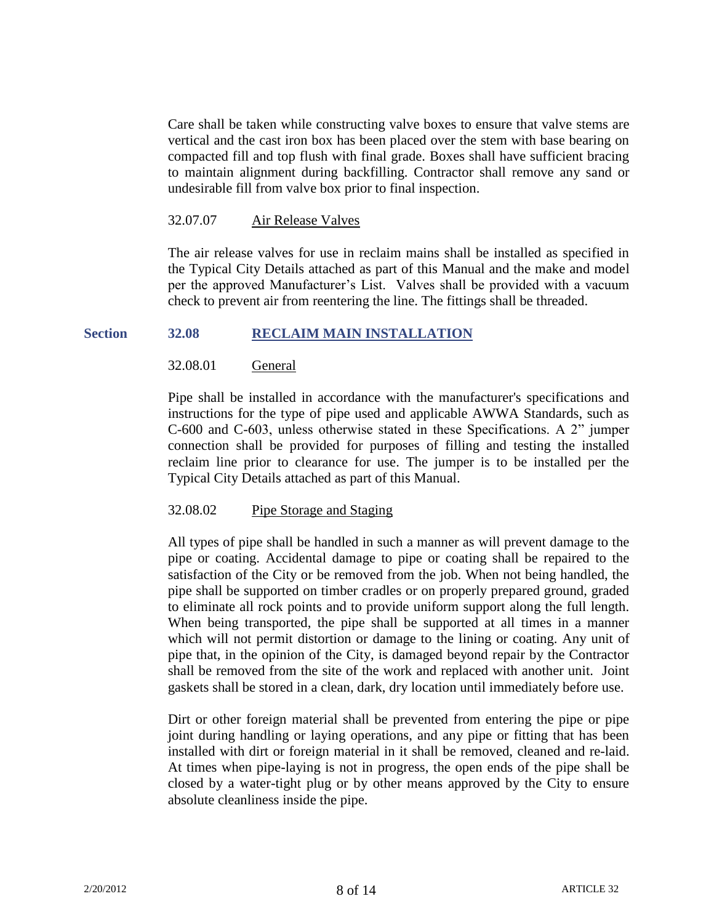Care shall be taken while constructing valve boxes to ensure that valve stems are vertical and the cast iron box has been placed over the stem with base bearing on compacted fill and top flush with final grade. Boxes shall have sufficient bracing to maintain alignment during backfilling. Contractor shall remove any sand or undesirable fill from valve box prior to final inspection.

### 32.07.07 Air Release Valves

The air release valves for use in reclaim mains shall be installed as specified in the Typical City Details attached as part of this Manual and the make and model per the approved Manufacturer's List. Valves shall be provided with a vacuum check to prevent air from reentering the line. The fittings shall be threaded.

### **Section 32.08 RECLAIM MAIN INSTALLATION**

# 32.08.01 General

Pipe shall be installed in accordance with the manufacturer's specifications and instructions for the type of pipe used and applicable AWWA Standards, such as C-600 and C-603, unless otherwise stated in these Specifications. A 2" jumper connection shall be provided for purposes of filling and testing the installed reclaim line prior to clearance for use. The jumper is to be installed per the Typical City Details attached as part of this Manual.

# 32.08.02 Pipe Storage and Staging

All types of pipe shall be handled in such a manner as will prevent damage to the pipe or coating. Accidental damage to pipe or coating shall be repaired to the satisfaction of the City or be removed from the job. When not being handled, the pipe shall be supported on timber cradles or on properly prepared ground, graded to eliminate all rock points and to provide uniform support along the full length. When being transported, the pipe shall be supported at all times in a manner which will not permit distortion or damage to the lining or coating. Any unit of pipe that, in the opinion of the City, is damaged beyond repair by the Contractor shall be removed from the site of the work and replaced with another unit. Joint gaskets shall be stored in a clean, dark, dry location until immediately before use.

Dirt or other foreign material shall be prevented from entering the pipe or pipe joint during handling or laying operations, and any pipe or fitting that has been installed with dirt or foreign material in it shall be removed, cleaned and re-laid. At times when pipe-laying is not in progress, the open ends of the pipe shall be closed by a water-tight plug or by other means approved by the City to ensure absolute cleanliness inside the pipe.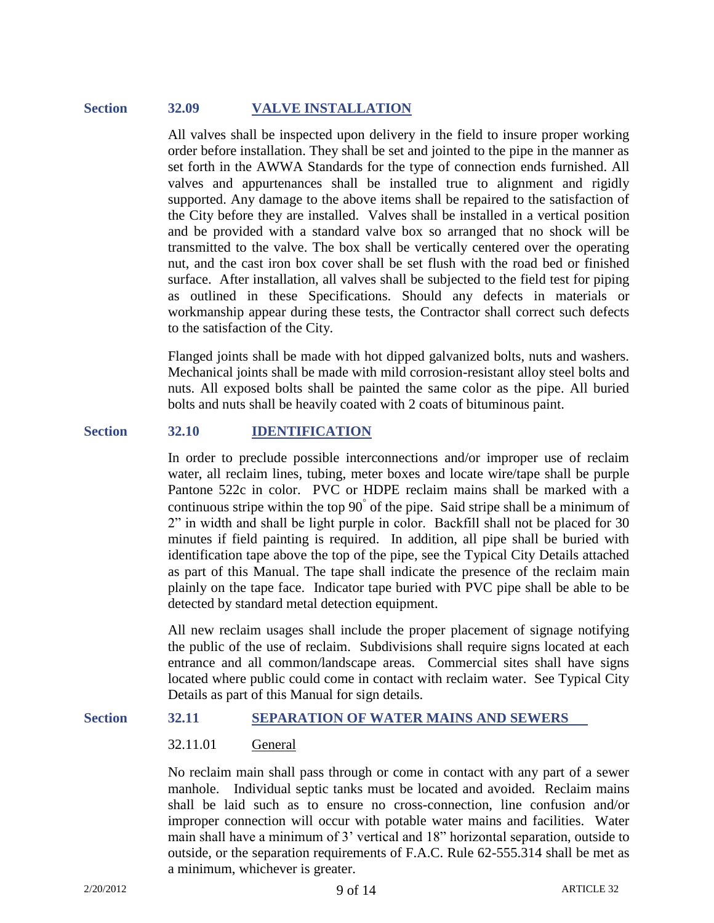# **Section 32.09 VALVE INSTALLATION**

All valves shall be inspected upon delivery in the field to insure proper working order before installation. They shall be set and jointed to the pipe in the manner as set forth in the AWWA Standards for the type of connection ends furnished. All valves and appurtenances shall be installed true to alignment and rigidly supported. Any damage to the above items shall be repaired to the satisfaction of the City before they are installed. Valves shall be installed in a vertical position and be provided with a standard valve box so arranged that no shock will be transmitted to the valve. The box shall be vertically centered over the operating nut, and the cast iron box cover shall be set flush with the road bed or finished surface. After installation, all valves shall be subjected to the field test for piping as outlined in these Specifications. Should any defects in materials or workmanship appear during these tests, the Contractor shall correct such defects to the satisfaction of the City.

Flanged joints shall be made with hot dipped galvanized bolts, nuts and washers. Mechanical joints shall be made with mild corrosion-resistant alloy steel bolts and nuts. All exposed bolts shall be painted the same color as the pipe. All buried bolts and nuts shall be heavily coated with 2 coats of bituminous paint.

### **Section 32.10 IDENTIFICATION**

In order to preclude possible interconnections and/or improper use of reclaim water, all reclaim lines, tubing, meter boxes and locate wire/tape shall be purple Pantone 522c in color. PVC or HDPE reclaim mains shall be marked with a continuous stripe within the top  $90^{\degree}$  of the pipe. Said stripe shall be a minimum of 2" in width and shall be light purple in color. Backfill shall not be placed for 30 minutes if field painting is required. In addition, all pipe shall be buried with identification tape above the top of the pipe, see the Typical City Details attached as part of this Manual. The tape shall indicate the presence of the reclaim main plainly on the tape face. Indicator tape buried with PVC pipe shall be able to be detected by standard metal detection equipment.

All new reclaim usages shall include the proper placement of signage notifying the public of the use of reclaim. Subdivisions shall require signs located at each entrance and all common/landscape areas. Commercial sites shall have signs located where public could come in contact with reclaim water. See Typical City Details as part of this Manual for sign details.

### **Section 32.11 SEPARATION OF WATER MAINS AND SEWERS**

# 32.11.01 General

No reclaim main shall pass through or come in contact with any part of a sewer manhole. Individual septic tanks must be located and avoided. Reclaim mains shall be laid such as to ensure no cross-connection, line confusion and/or improper connection will occur with potable water mains and facilities. Water main shall have a minimum of 3' vertical and 18" horizontal separation, outside to outside, or the separation requirements of F.A.C. Rule 62-555.314 shall be met as a minimum, whichever is greater.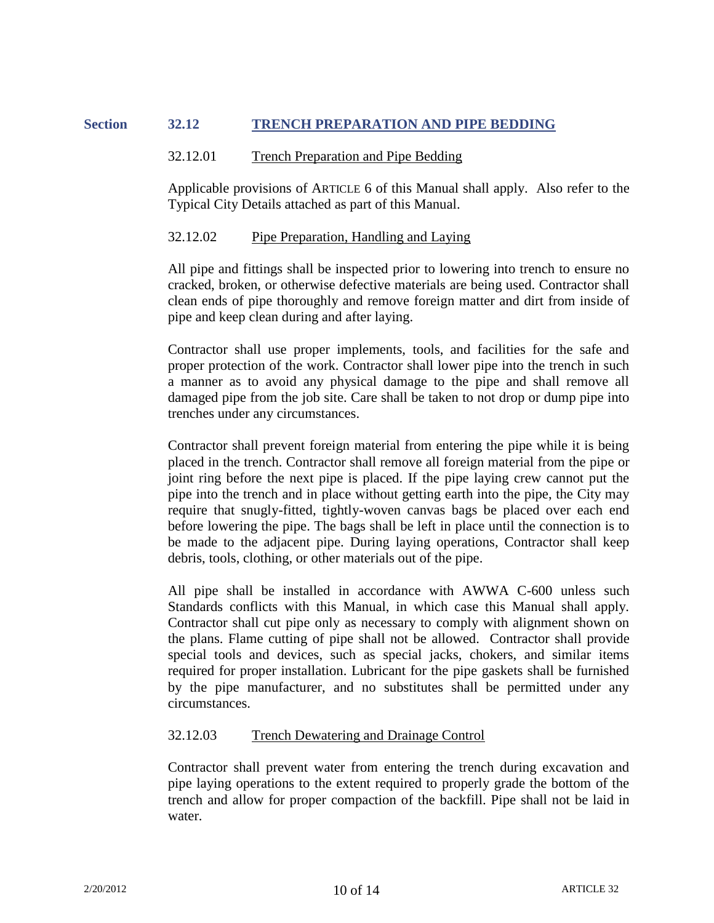# **Section 32.12 TRENCH PREPARATION AND PIPE BEDDING**

#### 32.12.01 Trench Preparation and Pipe Bedding

Applicable provisions of ARTICLE 6 of this Manual shall apply. Also refer to the Typical City Details attached as part of this Manual.

### 32.12.02 Pipe Preparation, Handling and Laying

All pipe and fittings shall be inspected prior to lowering into trench to ensure no cracked, broken, or otherwise defective materials are being used. Contractor shall clean ends of pipe thoroughly and remove foreign matter and dirt from inside of pipe and keep clean during and after laying.

Contractor shall use proper implements, tools, and facilities for the safe and proper protection of the work. Contractor shall lower pipe into the trench in such a manner as to avoid any physical damage to the pipe and shall remove all damaged pipe from the job site. Care shall be taken to not drop or dump pipe into trenches under any circumstances.

Contractor shall prevent foreign material from entering the pipe while it is being placed in the trench. Contractor shall remove all foreign material from the pipe or joint ring before the next pipe is placed. If the pipe laying crew cannot put the pipe into the trench and in place without getting earth into the pipe, the City may require that snugly-fitted, tightly-woven canvas bags be placed over each end before lowering the pipe. The bags shall be left in place until the connection is to be made to the adjacent pipe. During laying operations, Contractor shall keep debris, tools, clothing, or other materials out of the pipe.

All pipe shall be installed in accordance with AWWA C-600 unless such Standards conflicts with this Manual, in which case this Manual shall apply. Contractor shall cut pipe only as necessary to comply with alignment shown on the plans. Flame cutting of pipe shall not be allowed. Contractor shall provide special tools and devices, such as special jacks, chokers, and similar items required for proper installation. Lubricant for the pipe gaskets shall be furnished by the pipe manufacturer, and no substitutes shall be permitted under any circumstances.

#### 32.12.03 Trench Dewatering and Drainage Control

Contractor shall prevent water from entering the trench during excavation and pipe laying operations to the extent required to properly grade the bottom of the trench and allow for proper compaction of the backfill. Pipe shall not be laid in water.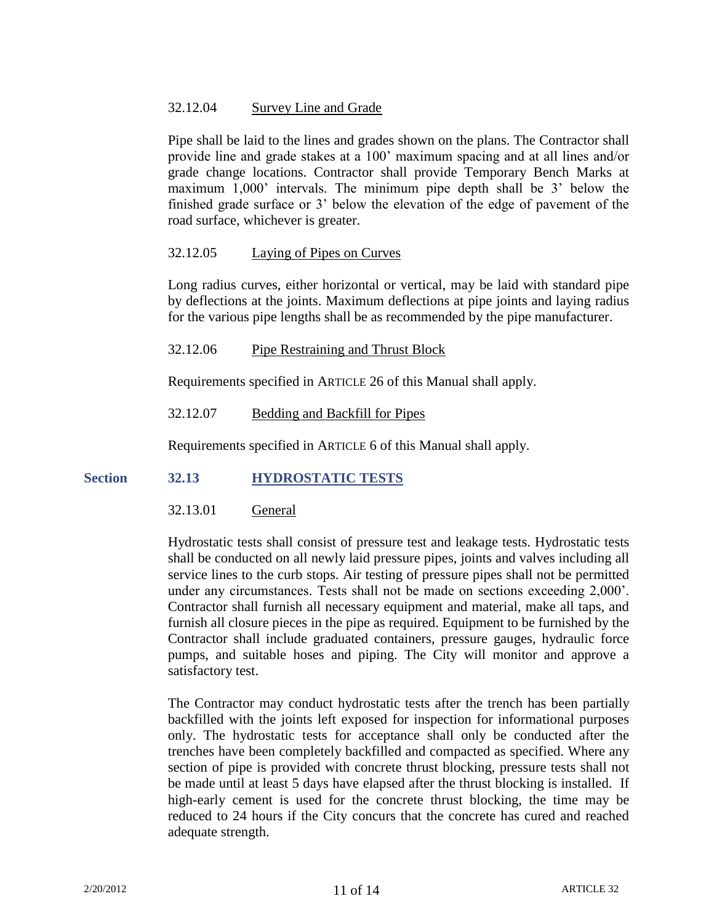# 32.12.04 Survey Line and Grade

Pipe shall be laid to the lines and grades shown on the plans. The Contractor shall provide line and grade stakes at a 100' maximum spacing and at all lines and/or grade change locations. Contractor shall provide Temporary Bench Marks at maximum 1,000' intervals. The minimum pipe depth shall be 3' below the finished grade surface or 3' below the elevation of the edge of pavement of the road surface, whichever is greater.

# 32.12.05 Laying of Pipes on Curves

Long radius curves, either horizontal or vertical, may be laid with standard pipe by deflections at the joints. Maximum deflections at pipe joints and laying radius for the various pipe lengths shall be as recommended by the pipe manufacturer.

### 32.12.06 Pipe Restraining and Thrust Block

Requirements specified in ARTICLE 26 of this Manual shall apply.

# 32.12.07 Bedding and Backfill for Pipes

Requirements specified in ARTICLE 6 of this Manual shall apply.

# **Section 32.13 HYDROSTATIC TESTS**

# 32.13.01 General

Hydrostatic tests shall consist of pressure test and leakage tests. Hydrostatic tests shall be conducted on all newly laid pressure pipes, joints and valves including all service lines to the curb stops. Air testing of pressure pipes shall not be permitted under any circumstances. Tests shall not be made on sections exceeding 2,000'. Contractor shall furnish all necessary equipment and material, make all taps, and furnish all closure pieces in the pipe as required. Equipment to be furnished by the Contractor shall include graduated containers, pressure gauges, hydraulic force pumps, and suitable hoses and piping. The City will monitor and approve a satisfactory test.

The Contractor may conduct hydrostatic tests after the trench has been partially backfilled with the joints left exposed for inspection for informational purposes only. The hydrostatic tests for acceptance shall only be conducted after the trenches have been completely backfilled and compacted as specified. Where any section of pipe is provided with concrete thrust blocking, pressure tests shall not be made until at least 5 days have elapsed after the thrust blocking is installed. If high-early cement is used for the concrete thrust blocking, the time may be reduced to 24 hours if the City concurs that the concrete has cured and reached adequate strength.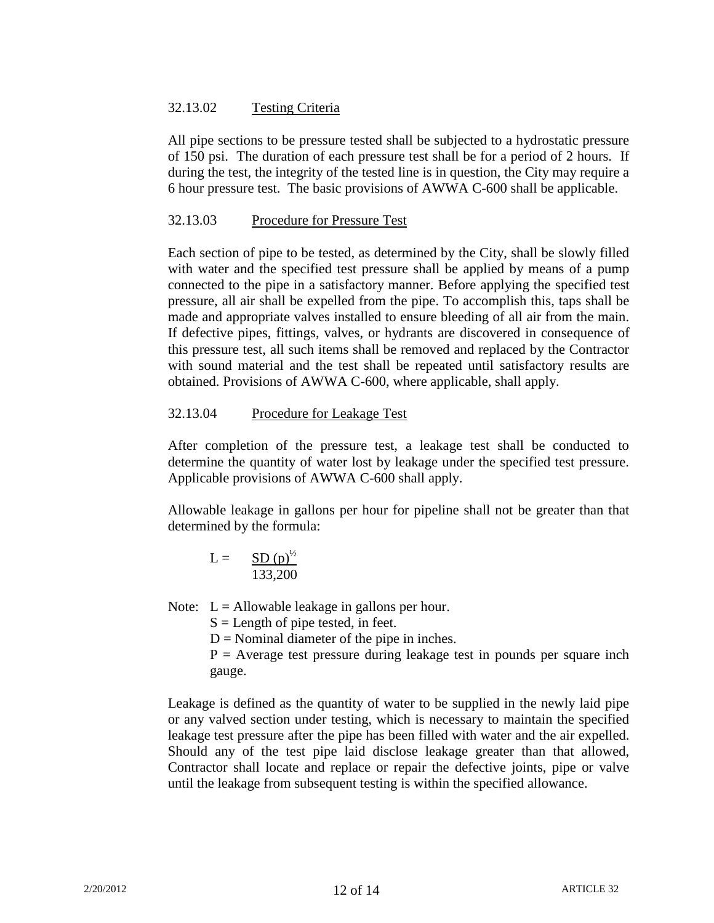# 32.13.02 Testing Criteria

All pipe sections to be pressure tested shall be subjected to a hydrostatic pressure of 150 psi. The duration of each pressure test shall be for a period of 2 hours. If during the test, the integrity of the tested line is in question, the City may require a 6 hour pressure test. The basic provisions of AWWA C-600 shall be applicable.

# 32.13.03 Procedure for Pressure Test

Each section of pipe to be tested, as determined by the City, shall be slowly filled with water and the specified test pressure shall be applied by means of a pump connected to the pipe in a satisfactory manner. Before applying the specified test pressure, all air shall be expelled from the pipe. To accomplish this, taps shall be made and appropriate valves installed to ensure bleeding of all air from the main. If defective pipes, fittings, valves, or hydrants are discovered in consequence of this pressure test, all such items shall be removed and replaced by the Contractor with sound material and the test shall be repeated until satisfactory results are obtained. Provisions of AWWA C-600, where applicable, shall apply.

# 32.13.04 Procedure for Leakage Test

After completion of the pressure test, a leakage test shall be conducted to determine the quantity of water lost by leakage under the specified test pressure. Applicable provisions of AWWA C-600 shall apply.

Allowable leakage in gallons per hour for pipeline shall not be greater than that determined by the formula:

$$
L = \frac{SD(p)^{1/2}}{133,200}
$$

Note:  $L =$  Allowable leakage in gallons per hour.

 $S =$ Length of pipe tested, in feet.

 $D =$  Nominal diameter of the pipe in inches.

 $P =$  Average test pressure during leakage test in pounds per square inch gauge.

Leakage is defined as the quantity of water to be supplied in the newly laid pipe or any valved section under testing, which is necessary to maintain the specified leakage test pressure after the pipe has been filled with water and the air expelled. Should any of the test pipe laid disclose leakage greater than that allowed, Contractor shall locate and replace or repair the defective joints, pipe or valve until the leakage from subsequent testing is within the specified allowance.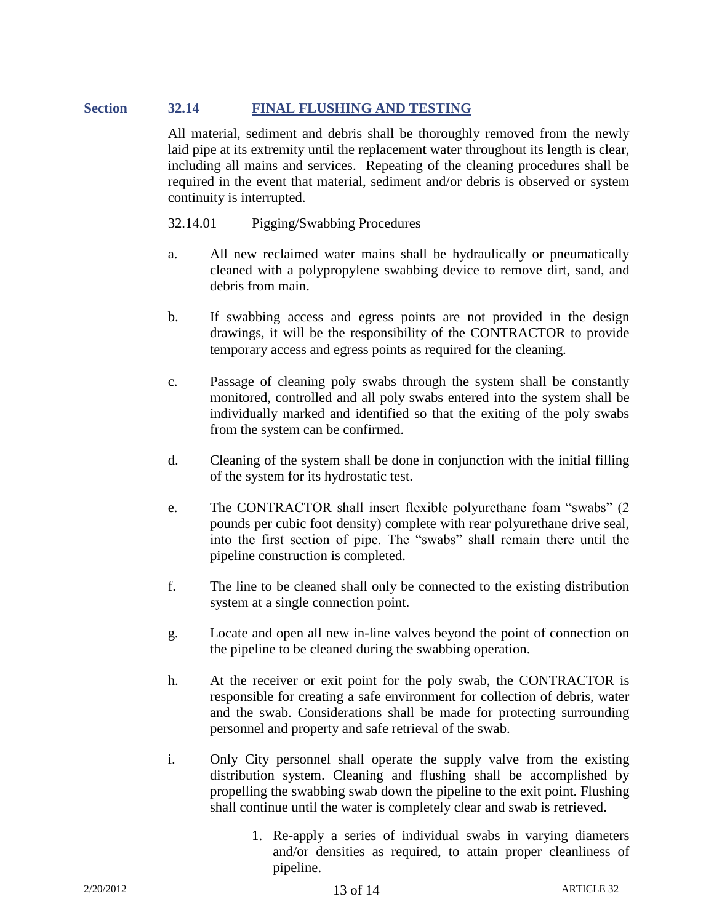# **Section 32.14 FINAL FLUSHING AND TESTING**

All material, sediment and debris shall be thoroughly removed from the newly laid pipe at its extremity until the replacement water throughout its length is clear, including all mains and services. Repeating of the cleaning procedures shall be required in the event that material, sediment and/or debris is observed or system continuity is interrupted.

# 32.14.01 Pigging/Swabbing Procedures

- a. All new reclaimed water mains shall be hydraulically or pneumatically cleaned with a polypropylene swabbing device to remove dirt, sand, and debris from main.
- b. If swabbing access and egress points are not provided in the design drawings, it will be the responsibility of the CONTRACTOR to provide temporary access and egress points as required for the cleaning.
- c. Passage of cleaning poly swabs through the system shall be constantly monitored, controlled and all poly swabs entered into the system shall be individually marked and identified so that the exiting of the poly swabs from the system can be confirmed.
- d. Cleaning of the system shall be done in conjunction with the initial filling of the system for its hydrostatic test.
- e. The CONTRACTOR shall insert flexible polyurethane foam "swabs" (2 pounds per cubic foot density) complete with rear polyurethane drive seal, into the first section of pipe. The "swabs" shall remain there until the pipeline construction is completed.
- f. The line to be cleaned shall only be connected to the existing distribution system at a single connection point.
- g. Locate and open all new in-line valves beyond the point of connection on the pipeline to be cleaned during the swabbing operation.
- h. At the receiver or exit point for the poly swab, the CONTRACTOR is responsible for creating a safe environment for collection of debris, water and the swab. Considerations shall be made for protecting surrounding personnel and property and safe retrieval of the swab.
- i. Only City personnel shall operate the supply valve from the existing distribution system. Cleaning and flushing shall be accomplished by propelling the swabbing swab down the pipeline to the exit point. Flushing shall continue until the water is completely clear and swab is retrieved.
	- 1. Re-apply a series of individual swabs in varying diameters and/or densities as required, to attain proper cleanliness of pipeline.